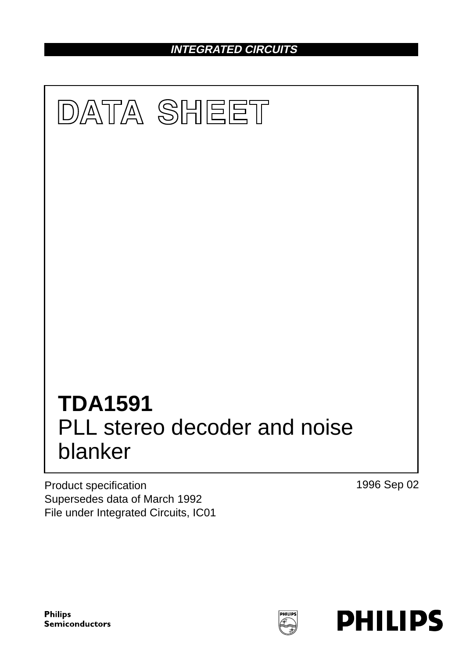**INTEGRATED CIRCUITS**



Product specification Supersedes data of March 1992 File under Integrated Circuits, IC01 1996 Sep 02

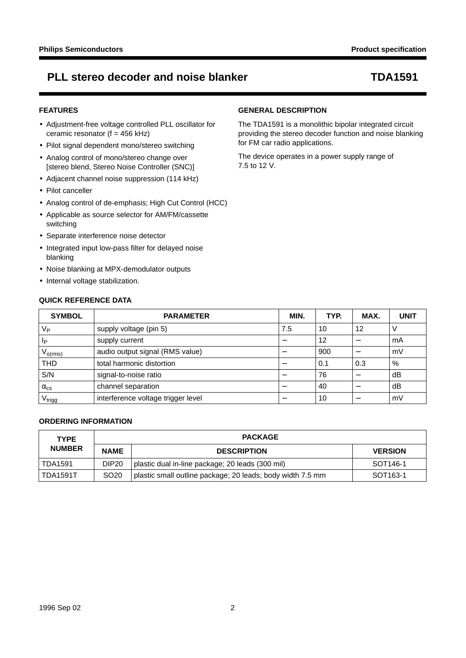### **FEATURES**

- Adjustment-free voltage controlled PLL oscillator for ceramic resonator ( $f = 456$  kHz)
- Pilot signal dependent mono/stereo switching
- Analog control of mono/stereo change over [stereo blend, Stereo Noise Controller (SNC)]
- Adjacent channel noise suppression (114 kHz)
- Pilot canceller
- Analog control of de-emphasis; High Cut Control (HCC)
- Applicable as source selector for AM/FM/cassette switching
- Separate interference noise detector
- Integrated input low-pass filter for delayed noise blanking
- Noise blanking at MPX-demodulator outputs
- Internal voltage stabilization.

### **QUICK REFERENCE DATA**

### **GENERAL DESCRIPTION**

The TDA1591 is a monolithic bipolar integrated circuit providing the stereo decoder function and noise blanking for FM car radio applications.

The device operates in a power supply range of 7.5 to 12 V.

| <b>SYMBOL</b>        | <b>PARAMETER</b>                   | MIN. | TYP. | MAX. | <b>UNIT</b> |
|----------------------|------------------------------------|------|------|------|-------------|
| V <sub>P</sub>       | supply voltage (pin 5)             | 7.5  | 10   | 12   |             |
| IP                   | supply current                     |      | 12   |      | mA          |
| $V_{o(rms)}$         | audio output signal (RMS value)    |      | 900  |      | mV          |
| THD                  | total harmonic distortion          |      | 0.1  | 0.3  | %           |
| S/N                  | signal-to-noise ratio              | –    | 76   |      | dB          |
| $\alpha_{\text{cs}}$ | channel separation                 |      | 40   |      | dB          |
| V <sub>trigg</sub>   | interference voltage trigger level |      | 10   |      | mV          |

### **ORDERING INFORMATION**

| <b>TYPE</b>   |                   | <b>PACKAGE</b>                                             |                       |  |  |  |
|---------------|-------------------|------------------------------------------------------------|-----------------------|--|--|--|
| <b>NUMBER</b> | <b>NAME</b>       | <b>DESCRIPTION</b>                                         | <b>VERSION</b>        |  |  |  |
| TDA1591       | DIP <sub>20</sub> | plastic dual in-line package; 20 leads (300 mil)           | SOT <sub>146-1</sub>  |  |  |  |
| TDA1591T      | SO <sub>20</sub>  | plastic small outline package; 20 leads; body width 7.5 mm | SOT <sub>163</sub> -1 |  |  |  |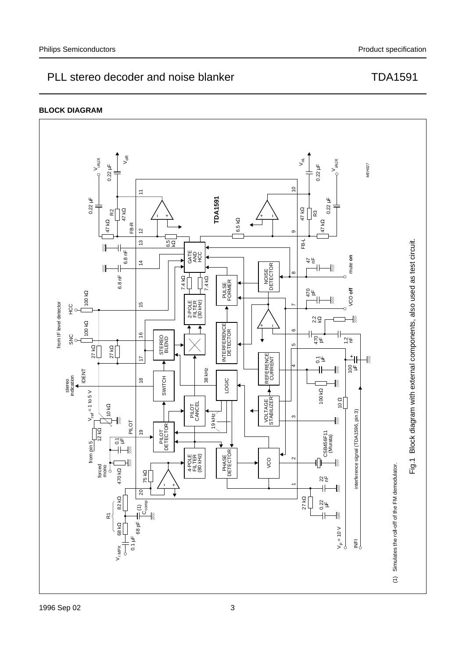

#### **BLOCK DIAGRAM**

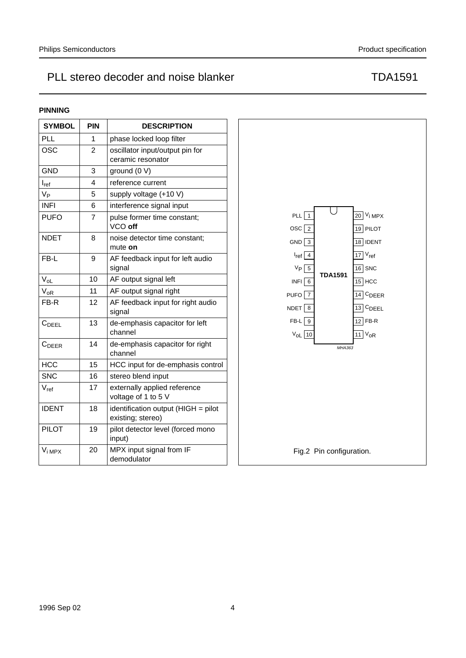### **PINNING**

| <b>SYMBOL</b>       | <b>PIN</b>     | <b>DESCRIPTION</b>                                  |                            |
|---------------------|----------------|-----------------------------------------------------|----------------------------|
| <b>PLL</b>          | 1              | phase locked loop filter                            |                            |
| <b>OSC</b>          | $\overline{2}$ | oscillator input/output pin for                     |                            |
|                     |                | ceramic resonator                                   |                            |
| <b>GND</b>          | 3              | ground (0 V)                                        |                            |
| $I_{ref}$           | 4              | reference current                                   |                            |
| $V_{P}$             | 5              | supply voltage (+10 V)                              |                            |
| <b>INFI</b>         | 6              | interference signal input                           |                            |
| <b>PUFO</b>         | $\overline{7}$ | pulse former time constant;                         | PLL                        |
|                     |                | VCO off                                             | <b>OSC</b>                 |
| <b>NDET</b>         | 8              | noise detector time constant;<br>mute on            | $GND \overline{3}$         |
| FB-L                | 9              | AF feedback input for left audio                    | $l_{ref}$ 4                |
|                     |                | signal                                              | $V_P$ 5                    |
| $V_{OL}$            | 10             | AF output signal left                               | <b>TDA1591</b><br>$INFI$ 6 |
| $V_{OR}$            | 11             | AF output signal right                              | <b>PUFO</b>                |
| FB-R                | 12             | AF feedback input for right audio                   | NDET 8                     |
|                     |                | signal                                              |                            |
| $C_{\mathsf{DEEL}}$ | 13             | de-emphasis capacitor for left<br>channel           | $FB-L$ 9<br>$V_{OL}$ 10    |
| $C_{DEER}$          | 14             | de-emphasis capacitor for right                     | MHA363                     |
|                     |                | channel                                             |                            |
| <b>HCC</b>          | 15             | HCC input for de-emphasis control                   |                            |
| <b>SNC</b>          | 16             | stereo blend input                                  |                            |
| $V_{ref}$           | 17             | externally applied reference<br>voltage of 1 to 5 V |                            |
| <b>IDENT</b>        | 18             | identification output (HIGH = pilot                 |                            |
|                     |                | existing; stereo)                                   |                            |
| <b>PILOT</b>        | 19             | pilot detector level (forced mono<br>input)         |                            |
| $V_{i \text{ MPX}}$ | 20             | MPX input signal from IF                            | Fig.2 Pin configuration.   |
|                     |                | demodulator                                         |                            |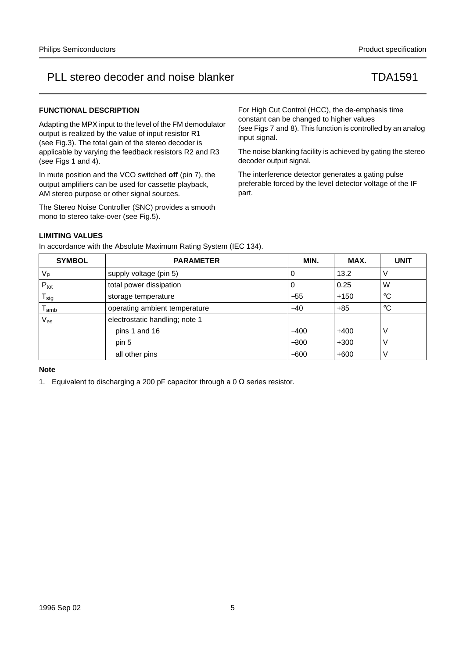### **FUNCTIONAL DESCRIPTION**

Adapting the MPX input to the level of the FM demodulator output is realized by the value of input resistor R1 (see Fig.3). The total gain of the stereo decoder is applicable by varying the feedback resistors R2 and R3 (see Figs 1 and 4).

In mute position and the VCO switched **off** (pin 7), the output amplifiers can be used for cassette playback, AM stereo purpose or other signal sources.

The Stereo Noise Controller (SNC) provides a smooth mono to stereo take-over (see Fig.5).

For High Cut Control (HCC), the de-emphasis time constant can be changed to higher values (see Figs 7 and 8). This function is controlled by an analog input signal.

The noise blanking facility is achieved by gating the stereo decoder output signal.

The interference detector generates a gating pulse preferable forced by the level detector voltage of the IF part.

### **LIMITING VALUES**

In accordance with the Absolute Maximum Rating System (IEC 134).

| <b>SYMBOL</b>               | <b>PARAMETER</b>               | MIN.   | MAX.   | <b>UNIT</b> |
|-----------------------------|--------------------------------|--------|--------|-------------|
| $V_{\mathsf{P}}$            | supply voltage (pin 5)         | 0      | 13.2   |             |
| $P_{\text{tot}}$            | total power dissipation        | 0      | 0.25   | W           |
| ${\sf T}_{\sf stg}$         | storage temperature            | $-55$  | $+150$ | °C          |
| $\mathsf{T}_{\mathsf{amb}}$ | operating ambient temperature  | $-40$  | $+85$  | $^{\circ}C$ |
| $\rm V_{es}$                | electrostatic handling; note 1 |        |        |             |
|                             | pins 1 and 16                  | $-400$ | $+400$ | V           |
|                             | pin 5                          | $-300$ | $+300$ | V           |
|                             | all other pins                 | $-600$ | $+600$ | V           |

#### **Note**

1. Equivalent to discharging a 200 pF capacitor through a 0  $\Omega$  series resistor.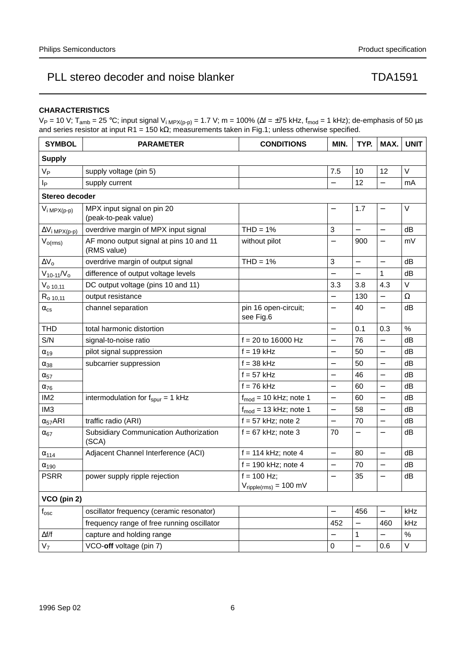### **CHARACTERISTICS**

V<sub>P</sub> = 10 V; T<sub>amb</sub> = 25 °C; input signal V<sub>i MPX(p-p)</sub> = 1.7 V; m = 100% (∆f = ±75 kHz, f<sub>mod</sub> = 1 kHz); de-emphasis of 50 µs and series resistor at input R1 = 150 kΩ; measurements taken in Fig.1; unless otherwise specified.

| <b>SYMBOL</b>                    | <b>PARAMETER</b>                                       | <b>CONDITIONS</b>                         | MIN.                     | TYP.                     | MAX.                     | <b>UNIT</b> |
|----------------------------------|--------------------------------------------------------|-------------------------------------------|--------------------------|--------------------------|--------------------------|-------------|
| <b>Supply</b>                    |                                                        |                                           |                          |                          |                          |             |
| $V_{\mathsf{P}}$                 | supply voltage (pin 5)                                 |                                           | 7.5                      | 10                       | 12                       | V           |
| p                                | supply current                                         |                                           |                          | 12                       | $\overline{\phantom{0}}$ | mA          |
| Stereo decoder                   |                                                        |                                           |                          |                          |                          |             |
| $V_{i \, MPX(p-p)}$              | MPX input signal on pin 20<br>(peak-to-peak value)     |                                           |                          | 1.7                      | —                        | V           |
| $\Delta V_i$ <sub>MPX(p-p)</sub> | overdrive margin of MPX input signal                   | $THD = 1%$                                | 3                        | $\overline{\phantom{0}}$ | $\overline{\phantom{0}}$ | dB          |
| $V_{o(rms)}$                     | AF mono output signal at pins 10 and 11<br>(RMS value) | without pilot                             | $\overline{\phantom{0}}$ | 900                      | $\overline{\phantom{0}}$ | mV          |
| $\Delta V_0$                     | overdrive margin of output signal                      | $THD = 1%$                                | 3                        | $\overline{a}$           | $\overline{a}$           | dB          |
| $V_{10-11}/V_{o}$                | difference of output voltage levels                    |                                           |                          | $\overline{\phantom{0}}$ | 1                        | dB          |
| $V_{o\ 10,11}$                   | DC output voltage (pins 10 and 11)                     |                                           | 3.3                      | 3.8                      | 4.3                      | V           |
| $R_{0,10,11}$                    | output resistance                                      |                                           | —                        | 130                      | $\overline{\phantom{0}}$ | Ω           |
| $\alpha_{\text{cs}}$             | channel separation                                     | pin 16 open-circuit;<br>see Fig.6         | $\overline{\phantom{0}}$ | 40                       | $\overline{\phantom{0}}$ | dB          |
| <b>THD</b>                       | total harmonic distortion                              |                                           |                          | 0.1                      | 0.3                      | $\%$        |
| S/N                              | signal-to-noise ratio                                  | $f = 20$ to 16000 Hz                      | $\overline{\phantom{0}}$ | 76                       | $\overline{\phantom{0}}$ | dB          |
| $\alpha_{19}$                    | pilot signal suppression                               | $f = 19$ kHz                              | $\overline{\phantom{0}}$ | 50                       | $\overline{a}$           | dB          |
| $\alpha_{38}$                    | subcarrier suppression                                 | $f = 38$ kHz                              | —                        | 50                       | $\qquad \qquad -$        | dB          |
| $\alpha_{57}$                    |                                                        | $f = 57$ kHz                              |                          | 46                       | $\overline{a}$           | dB          |
| $\alpha_{76}$                    |                                                        | $f = 76$ kHz                              |                          | 60                       | $\overline{a}$           | dB          |
| IM <sub>2</sub>                  | intermodulation for $f_{spur} = 1$ kHz                 | $f_{mod}$ = 10 kHz; note 1                | $\overline{\phantom{0}}$ | 60                       | $\overline{a}$           | dB          |
| IM <sub>3</sub>                  |                                                        | $f_{mod}$ = 13 kHz; note 1                | $\overline{\phantom{0}}$ | 58                       | $\overline{\phantom{0}}$ | dB          |
| $\alpha_{57}$ ARI                | traffic radio (ARI)                                    | $f = 57$ kHz; note 2                      | $\overline{\phantom{0}}$ | 70                       | $\overline{\phantom{0}}$ | dB          |
| $\alpha_{67}$                    | Subsidiary Communication Authorization<br>(SCA)        | $f = 67$ kHz; note 3                      | 70                       | $\overline{\phantom{0}}$ | $\overline{\phantom{0}}$ | dB          |
| $\alpha_{114}$                   | Adjacent Channel Interference (ACI)                    | $f = 114$ kHz; note 4                     | $\overline{a}$           | 80                       | $\overline{\phantom{0}}$ | dB          |
| $\alpha_{190}$                   |                                                        | $f = 190$ kHz; note 4                     | $\overline{\phantom{0}}$ | 70                       | $\overline{\phantom{0}}$ | dB          |
| <b>PSRR</b>                      | power supply ripple rejection                          | $f = 100$ Hz;                             | $\overline{\phantom{0}}$ | 35                       | $\overline{\phantom{0}}$ | dB          |
|                                  |                                                        | $V_{\text{ripple(rms)}} = 100 \text{ mV}$ |                          |                          |                          |             |
| VCO (pin 2)                      |                                                        |                                           |                          |                          |                          |             |
| $\mathsf{f}_{\mathsf{osc}}$      | oscillator frequency (ceramic resonator)               |                                           |                          | 456                      | $\overline{\phantom{0}}$ | kHz         |
|                                  | frequency range of free running oscillator             |                                           | 452                      |                          | 460                      | kHz         |
| $\Delta f/f$                     | capture and holding range                              |                                           |                          | 1                        |                          | $\%$        |
| V <sub>7</sub>                   | VCO-off voltage (pin 7)                                |                                           | $\pmb{0}$                | $\overline{a}$           | 0.6                      | V           |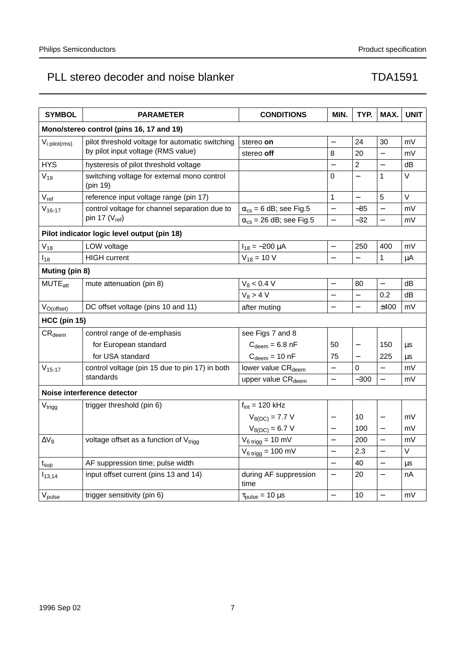| <b>SYMBOL</b>                            | <b>PARAMETER</b>                                        | <b>CONDITIONS</b>                       | MIN.                     | TYP.                     | MAX.                     | <b>UNIT</b> |  |  |
|------------------------------------------|---------------------------------------------------------|-----------------------------------------|--------------------------|--------------------------|--------------------------|-------------|--|--|
| Mono/stereo control (pins 16, 17 and 19) |                                                         |                                         |                          |                          |                          |             |  |  |
| V <sub>i</sub> pilot(rms)                | pilot threshold voltage for automatic switching         | stereo on                               | $\overline{\phantom{0}}$ | 24                       | 30                       | mV          |  |  |
|                                          | by pilot input voltage (RMS value)                      | stereo off                              | 8                        | 20                       | $\equiv$                 | mV          |  |  |
| <b>HYS</b>                               | hysteresis of pilot threshold voltage                   |                                         |                          | $\overline{2}$           | $\overline{a}$           | dB          |  |  |
| $V_{19}$                                 | switching voltage for external mono control<br>(pin 19) |                                         | 0                        |                          | 1                        | $\vee$      |  |  |
| $V_{ref}$                                | reference input voltage range (pin 17)                  |                                         | $\mathbf{1}$             |                          | 5                        | $\vee$      |  |  |
| $V_{16-17}$                              | control voltage for channel separation due to           | $\alpha_{\text{cs}}$ = 6 dB; see Fig.5  | $\overline{\phantom{0}}$ | -85                      | $\overline{a}$           | mV          |  |  |
|                                          | pin 17 $(V_{ref})$                                      | $\alpha_{\text{cs}}$ = 26 dB; see Fig.5 | $\overline{\phantom{0}}$ | $-32$                    | $\overline{a}$           | mV          |  |  |
|                                          | Pilot indicator logic level output (pin 18)             |                                         |                          |                          |                          |             |  |  |
| $V_{18}$                                 | LOW voltage                                             | $I_{18} = -200 \mu A$                   | $\overline{\phantom{0}}$ | 250                      | 400                      | mV          |  |  |
| $I_{18}$                                 | <b>HIGH</b> current                                     | $V_{18} = 10 V$                         |                          |                          | 1                        | μA          |  |  |
| Muting (pin 8)                           |                                                         |                                         |                          |                          |                          |             |  |  |
| MUTE <sub>att</sub>                      | mute attenuation (pin 8)                                | $V_8$ < 0.4 V                           | $\overline{\phantom{0}}$ | 80                       | $\overline{\phantom{0}}$ | dB          |  |  |
|                                          |                                                         | $V_8 > 4 V$                             | $\overline{\phantom{0}}$ |                          | 0.2                      | dB          |  |  |
| $V_{O(offset)}$                          | DC offset voltage (pins 10 and 11)                      | after muting                            | $\overline{\phantom{0}}$ | $\overline{\phantom{0}}$ | ±400                     | mV          |  |  |
| <b>HCC (pin 15)</b>                      |                                                         |                                         |                          |                          |                          |             |  |  |
| $CR_{\text{deem}}$                       | control range of de-emphasis                            | see Figs 7 and 8                        |                          |                          |                          |             |  |  |
|                                          | for European standard                                   | $C_{\text{deem}} = 6.8 \text{ nF}$      | 50                       |                          | 150                      | μs          |  |  |
|                                          | for USA standard                                        | $C_{\text{deem}} = 10 \text{ nF}$       | 75                       |                          | 225                      | μs          |  |  |
| $V_{15-17}$                              | control voltage (pin 15 due to pin 17) in both          | lower value CR <sub>deem</sub>          |                          | $\mathbf 0$              |                          | mV          |  |  |
|                                          | standards                                               | upper value CR <sub>deem</sub>          | $\overline{\phantom{0}}$ | $-300$                   | $\overline{a}$           | mV          |  |  |
| Noise interference detector              |                                                         |                                         |                          |                          |                          |             |  |  |
| $\rm V_{trigg}$                          | trigger threshold (pin 6)                               | $f_{int}$ = 120 kHz                     |                          |                          |                          |             |  |  |
|                                          |                                                         | $V_{8(DC)} = 7.7 V$                     |                          | 10                       | $\overline{\phantom{0}}$ | mV          |  |  |
|                                          |                                                         | $V_{8(DC)} = 6.7 V$                     | -                        | 100                      | $\overline{\phantom{0}}$ | mV          |  |  |
| $\Delta V_8$                             | voltage offset as a function of V <sub>trigg</sub>      | $V_{6 trigg} = 10$ mV                   | $\overline{a}$           | 200                      | $\overline{a}$           | mV          |  |  |
|                                          |                                                         | $V_{6 trigg} = 100$ mV                  | $\overline{\phantom{0}}$ | 2.3                      | $\overline{\phantom{0}}$ | V           |  |  |
| $t_{\sf sup}$                            | AF suppression time; pulse width                        |                                         |                          | 40                       | $\overline{a}$           | μs          |  |  |
| $I_{13,14}$                              | input offset current (pins 13 and 14)                   | during AF suppression<br>time           | $\overline{\phantom{0}}$ | 20                       | $\overline{\phantom{0}}$ | nA          |  |  |
| V <sub>pulse</sub>                       | trigger sensitivity (pin 6)                             | $\tau_{pulse} = 10 \,\mu s$             |                          | 10                       | $\overline{\phantom{0}}$ | mV          |  |  |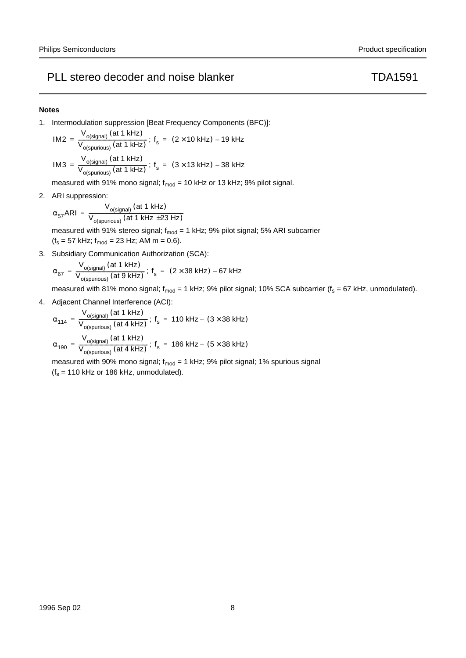#### **Notes**

1. Intermodulation suppression [Beat Frequency Components (BFC)]:

$$
IM2 = \frac{V_{o(signal)} \text{ (at 1 kHz)}}{V_{o(spurious)} \text{ (at 1 kHz)}}; f_s = (2 \times 10 \text{ kHz}) - 19 \text{ kHz}
$$
  

$$
V_{o(siren)} \text{ (at 1 kHz)}
$$

IM3 =  $\frac{V_{o(signal)}(at 1 kHz)}{V_{o(spurious)}(at 1 kHz)}$ ; f<sub>s</sub> = (3 × 13 kHz) – 38 kHz

measured with 91% mono signal;  $f_{mod}$  = 10 kHz or 13 kHz; 9% pilot signal.

2. ARI suppression:

$$
\alpha_{57}ARI = \frac{V_{o(signal)} \ (at 1 kHz)}{V_{o(spurious)} \ (at 1 kHz \pm 23 Hz)}
$$

measured with 91% stereo signal;  $f_{mod} = 1$  kHz; 9% pilot signal; 5% ARI subcarrier  $(f_s = 57 \text{ kHz}; f_{mod} = 23 \text{ Hz}; \text{ AM m} = 0.6).$ 

3. Subsidiary Communication Authorization (SCA):

$$
\alpha_{67} = \frac{V_{o(signal)} \left(at \frac{1 \text{ kHz}}{1 \text{ kHz}}\right)}{V_{o(spurious)} \left(at \frac{9 \text{ kHz}}{1 \text{ kHz}}\right)}; \text{ f}_{s} = (2 \times 38 \text{ kHz}) - 67 \text{ kHz}
$$

measured with 81% mono signal;  $f_{mod}$  = 1 kHz; 9% pilot signal; 10% SCA subcarrier ( $f_s$  = 67 kHz, unmodulated).

4. Adjacent Channel Interference (ACI):

$$
\alpha_{114} = \frac{V_{o(signal)} \text{ (at 1 kHz)}}{V_{o(spurious)} \text{ (at 4 kHz)}}; f_s = 110 kHz - (3 \times 38 kHz)
$$
\n
$$
\alpha_{190} = \frac{V_{o(signal)} \text{ (at 1 kHz)}}{V_{o(spurious)} \text{ (at 4 kHz)}}; f_s = 186 kHz - (5 \times 38 kHz)
$$

measured with 90% mono signal;  $f_{mod} = 1$  kHz; 9% pilot signal; 1% spurious signal  $(f_s = 110$  kHz or 186 kHz, unmodulated).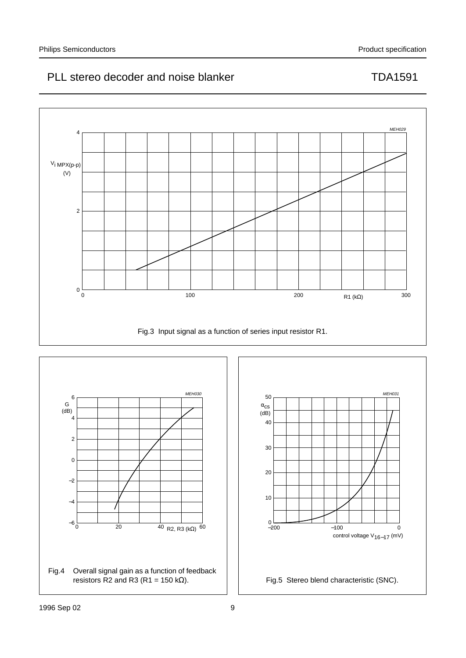



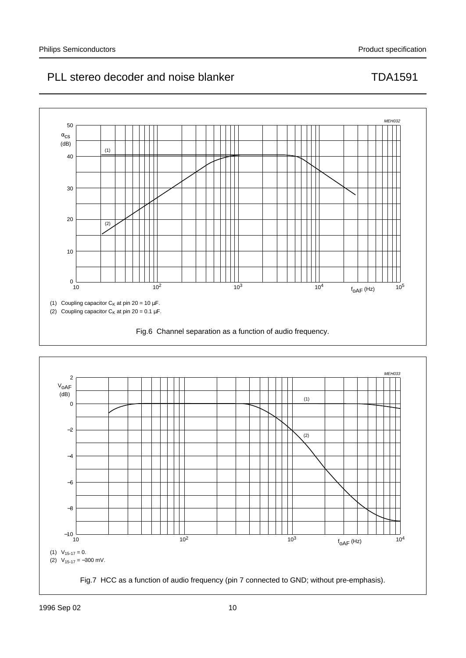

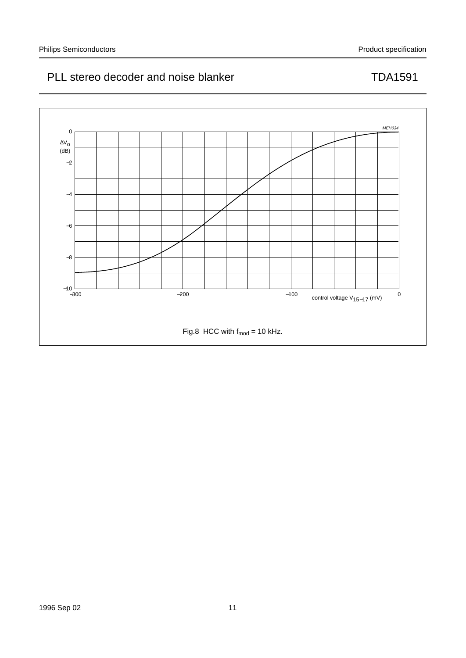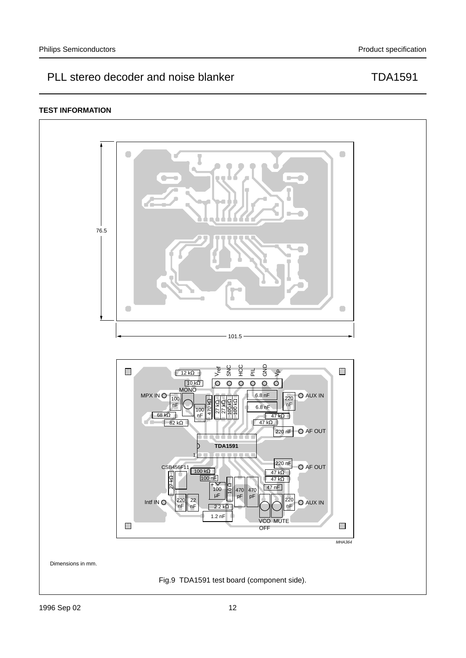### **TEST INFORMATION**

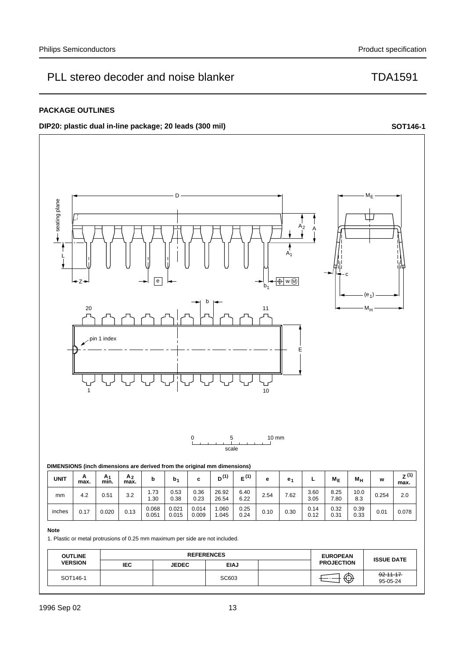### **PACKAGE OUTLINES**

**DIP20:** plastic dual in-line package; 20 leads (300 mil) **SOT146-1 SOT146-1** 





### **Note**

mm

1. Plastic or metal protrusions of 0.25 mm maximum per side are not included.

0.051

0.015

0.009

| <b>OUTLINE</b> |     | <b>REFERENCES</b> |             |  | <b>EUROPEAN</b>   |                             |
|----------------|-----|-------------------|-------------|--|-------------------|-----------------------------|
| <b>VERSION</b> | IEC | <b>JEDEC</b>      | <b>EIAJ</b> |  | <b>PROJECTION</b> | <b>ISSUE DATE</b>           |
| SOT146-1       |     |                   | SC603       |  | ∕⊼                | $-92 - 11 - 17$<br>95-05-24 |

1.045

0.24

0.31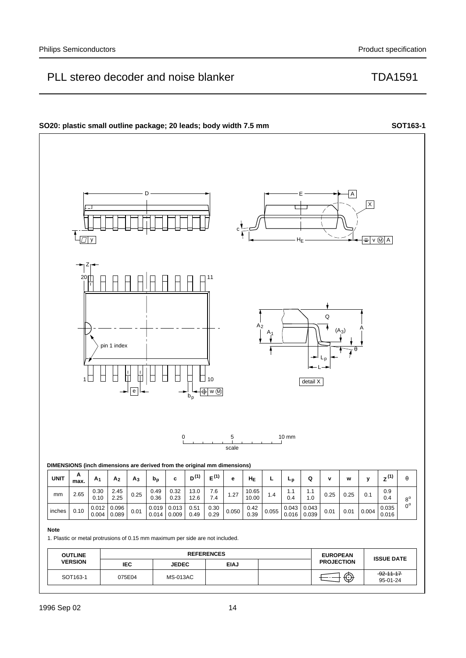

1996 Sep 02 14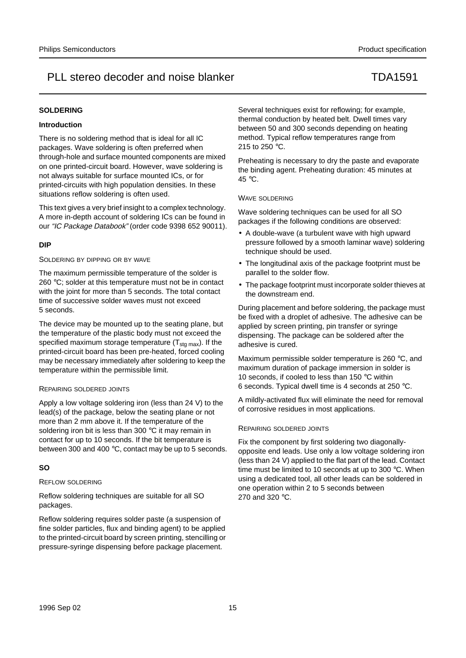#### **SOLDERING**

#### **Introduction**

There is no soldering method that is ideal for all IC packages. Wave soldering is often preferred when through-hole and surface mounted components are mixed on one printed-circuit board. However, wave soldering is not always suitable for surface mounted ICs, or for printed-circuits with high population densities. In these situations reflow soldering is often used.

This text gives a very brief insight to a complex technology. A more in-depth account of soldering ICs can be found in our "IC Package Databook" (order code 9398 652 90011).

#### **DIP**

#### SOLDERING BY DIPPING OR BY WAVE

The maximum permissible temperature of the solder is 260 °C; solder at this temperature must not be in contact with the joint for more than 5 seconds. The total contact time of successive solder waves must not exceed 5 seconds.

The device may be mounted up to the seating plane, but the temperature of the plastic body must not exceed the specified maximum storage temperature  $(T_{\text{stq max}})$ . If the printed-circuit board has been pre-heated, forced cooling may be necessary immediately after soldering to keep the temperature within the permissible limit.

#### REPAIRING SOLDERED JOINTS

Apply a low voltage soldering iron (less than 24 V) to the lead(s) of the package, below the seating plane or not more than 2 mm above it. If the temperature of the soldering iron bit is less than 300 °C it may remain in contact for up to 10 seconds. If the bit temperature is between 300 and 400 °C, contact may be up to 5 seconds.

#### **SO**

#### REFLOW SOLDERING

Reflow soldering techniques are suitable for all SO packages.

Reflow soldering requires solder paste (a suspension of fine solder particles, flux and binding agent) to be applied to the printed-circuit board by screen printing, stencilling or pressure-syringe dispensing before package placement.

Several techniques exist for reflowing; for example, thermal conduction by heated belt. Dwell times vary between 50 and 300 seconds depending on heating method. Typical reflow temperatures range from 215 to 250 °C.

Preheating is necessary to dry the paste and evaporate the binding agent. Preheating duration: 45 minutes at 45 °C.

#### WAVE SOLDERING

Wave soldering techniques can be used for all SO packages if the following conditions are observed:

- A double-wave (a turbulent wave with high upward pressure followed by a smooth laminar wave) soldering technique should be used.
- The longitudinal axis of the package footprint must be parallel to the solder flow.
- The package footprint must incorporate solder thieves at the downstream end.

During placement and before soldering, the package must be fixed with a droplet of adhesive. The adhesive can be applied by screen printing, pin transfer or syringe dispensing. The package can be soldered after the adhesive is cured.

Maximum permissible solder temperature is 260 °C, and maximum duration of package immersion in solder is 10 seconds, if cooled to less than 150 °C within 6 seconds. Typical dwell time is 4 seconds at 250 °C.

A mildly-activated flux will eliminate the need for removal of corrosive residues in most applications.

#### REPAIRING SOLDERED JOINTS

Fix the component by first soldering two diagonallyopposite end leads. Use only a low voltage soldering iron (less than 24 V) applied to the flat part of the lead. Contact time must be limited to 10 seconds at up to 300 °C. When using a dedicated tool, all other leads can be soldered in one operation within 2 to 5 seconds between 270 and 320 °C.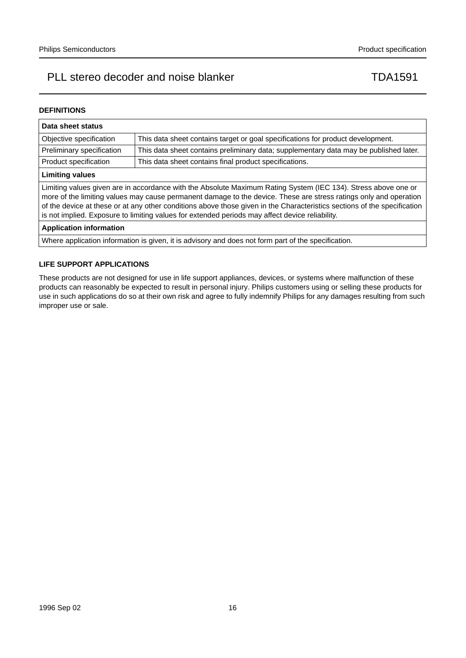#### **DEFINITIONS**

| Data sheet status                                                                                                                                                                                                                                                                                                                                                                                                                                                  |                                                                                       |  |  |  |  |
|--------------------------------------------------------------------------------------------------------------------------------------------------------------------------------------------------------------------------------------------------------------------------------------------------------------------------------------------------------------------------------------------------------------------------------------------------------------------|---------------------------------------------------------------------------------------|--|--|--|--|
| Objective specification                                                                                                                                                                                                                                                                                                                                                                                                                                            | This data sheet contains target or goal specifications for product development.       |  |  |  |  |
| Preliminary specification                                                                                                                                                                                                                                                                                                                                                                                                                                          | This data sheet contains preliminary data; supplementary data may be published later. |  |  |  |  |
| Product specification                                                                                                                                                                                                                                                                                                                                                                                                                                              | This data sheet contains final product specifications.                                |  |  |  |  |
| <b>Limiting values</b>                                                                                                                                                                                                                                                                                                                                                                                                                                             |                                                                                       |  |  |  |  |
| Limiting values given are in accordance with the Absolute Maximum Rating System (IEC 134). Stress above one or<br>more of the limiting values may cause permanent damage to the device. These are stress ratings only and operation<br>of the device at these or at any other conditions above those given in the Characteristics sections of the specification<br>is not implied. Exposure to limiting values for extended periods may affect device reliability. |                                                                                       |  |  |  |  |
| <b>Application information</b>                                                                                                                                                                                                                                                                                                                                                                                                                                     |                                                                                       |  |  |  |  |
| Where application information is given, it is advisory and does not form part of the specification.                                                                                                                                                                                                                                                                                                                                                                |                                                                                       |  |  |  |  |

#### **LIFE SUPPORT APPLICATIONS**

These products are not designed for use in life support appliances, devices, or systems where malfunction of these products can reasonably be expected to result in personal injury. Philips customers using or selling these products for use in such applications do so at their own risk and agree to fully indemnify Philips for any damages resulting from such improper use or sale.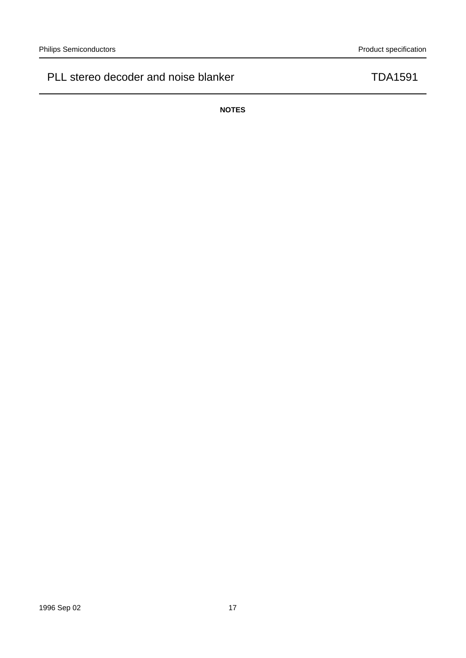**NOTES**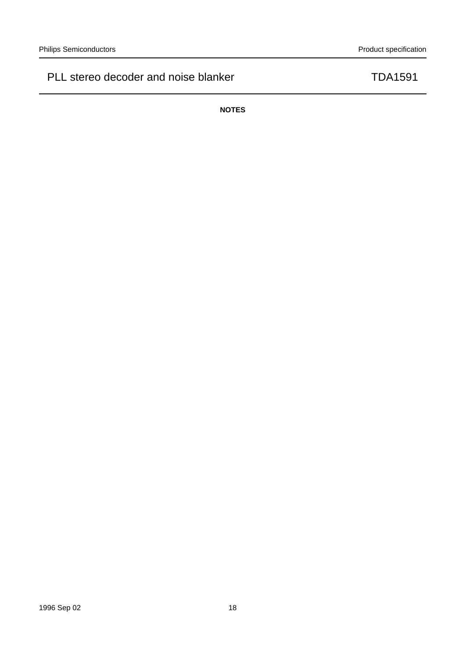**NOTES**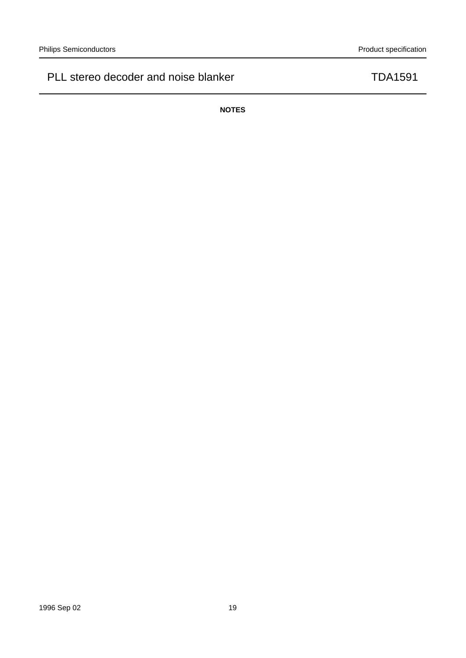**NOTES**